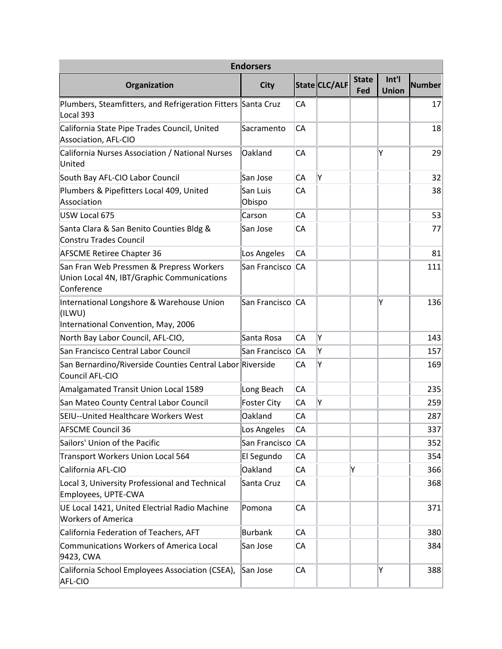| <b>Endorsers</b>                                                                                     |                    |           |               |                     |                       |               |  |  |
|------------------------------------------------------------------------------------------------------|--------------------|-----------|---------------|---------------------|-----------------------|---------------|--|--|
| Organization                                                                                         | <b>City</b>        |           | State CLC/ALF | <b>State</b><br>Fed | Int'l<br><b>Union</b> | <b>Number</b> |  |  |
| Plumbers, Steamfitters, and Refrigeration Fitters Santa Cruz<br>Local 393                            |                    | CA        |               |                     |                       | 17            |  |  |
| California State Pipe Trades Council, United<br>Association, AFL-CIO                                 | Sacramento         | СA        |               |                     |                       | 18            |  |  |
| California Nurses Association / National Nurses<br>United                                            | Oakland            | CA        |               |                     | Ý                     | 29            |  |  |
| South Bay AFL-CIO Labor Council                                                                      | San Jose           | CA        | l۷            |                     |                       | 32            |  |  |
| Plumbers & Pipefitters Local 409, United<br>Association                                              | San Luis<br>Obispo | CA        |               |                     |                       | 38            |  |  |
| USW Local 675                                                                                        | Carson             | CA        |               |                     |                       | 53            |  |  |
| Santa Clara & San Benito Counties Bldg &<br>Constru Trades Council                                   | San Jose           | CA        |               |                     |                       | 77            |  |  |
| <b>AFSCME Retiree Chapter 36</b>                                                                     | Los Angeles        | CA        |               |                     |                       | 81            |  |  |
| San Fran Web Pressmen & Prepress Workers<br>Union Local 4N, IBT/Graphic Communications<br>Conference | San Francisco      | CA        |               |                     |                       | 111           |  |  |
| International Longshore & Warehouse Union<br>(ILWU)<br>International Convention, May, 2006           | San Francisco      | <b>CA</b> |               |                     | Υ                     | 136           |  |  |
| North Bay Labor Council, AFL-CIO,                                                                    | Santa Rosa         | CA        | Y             |                     |                       | 143           |  |  |
| San Francisco Central Labor Council                                                                  | San Francisco      | ICA       | Υ             |                     |                       | 157           |  |  |
| San Bernardino/Riverside Counties Central Labor Riverside<br>Council AFL-CIO                         |                    | СA        | Y             |                     |                       | 169           |  |  |
| Amalgamated Transit Union Local 1589                                                                 | Long Beach         | CA        |               |                     |                       | 235           |  |  |
| San Mateo County Central Labor Council                                                               | <b>Foster City</b> | CA        | İΥ            |                     |                       | 259           |  |  |
| SEIU--United Healthcare Workers West                                                                 | Oakland            | CA        |               |                     |                       | 287           |  |  |
| AFSCME Council 36                                                                                    | Los Angeles        | СA        |               |                     |                       | 337           |  |  |
| Sailors' Union of the Pacific                                                                        | San Francisco      | <b>CA</b> |               |                     |                       | 352           |  |  |
| Transport Workers Union Local 564                                                                    | El Segundo         | CA        |               |                     |                       | 354           |  |  |
| California AFL-CIO                                                                                   | Oakland            | CA        |               | Y                   |                       | 366           |  |  |
| Local 3, University Professional and Technical<br>Employees, UPTE-CWA                                | Santa Cruz         | CA        |               |                     |                       | 368           |  |  |
| UE Local 1421, United Electrial Radio Machine<br><b>Workers of America</b>                           | Pomona             | СA        |               |                     |                       | 371           |  |  |
| California Federation of Teachers, AFT                                                               | <b>Burbank</b>     | СA        |               |                     |                       | 380           |  |  |
| Communications Workers of America Local<br>9423, CWA                                                 | San Jose           | CA        |               |                     |                       | 384           |  |  |
| California School Employees Association (CSEA),<br>AFL-CIO                                           | San Jose           | CA        |               |                     | Y                     | 388           |  |  |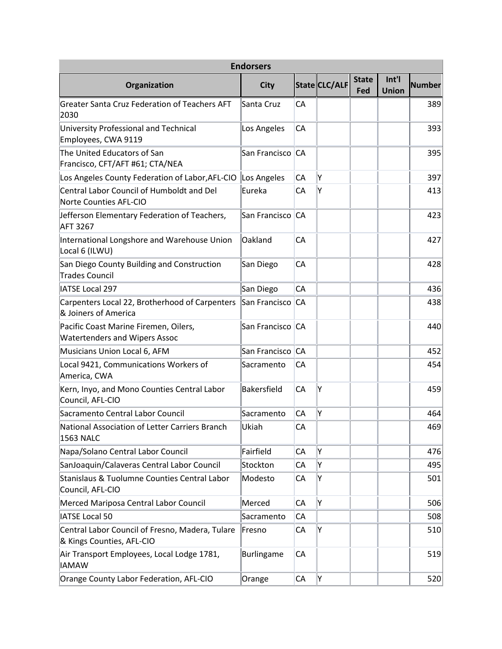| <b>Endorsers</b>                                                              |                    |           |               |                     |                       |        |  |  |
|-------------------------------------------------------------------------------|--------------------|-----------|---------------|---------------------|-----------------------|--------|--|--|
| Organization                                                                  | <b>City</b>        |           | State CLC/ALF | <b>State</b><br>Fed | Int'l<br><b>Union</b> | Number |  |  |
| <b>Greater Santa Cruz Federation of Teachers AFT</b><br>2030                  | Santa Cruz         | CA        |               |                     |                       | 389    |  |  |
| University Professional and Technical<br>Employees, CWA 9119                  | Los Angeles        | СA        |               |                     |                       | 393    |  |  |
| The United Educators of San<br>Francisco, CFT/AFT #61; CTA/NEA                | San Francisco      | <b>CA</b> |               |                     |                       | 395    |  |  |
| Los Angeles County Federation of Labor, AFL-CIO                               | Los Angeles        | CA        | İΥ            |                     |                       | 397    |  |  |
| Central Labor Council of Humboldt and Del<br>Norte Counties AFL-CIO           | Eureka             | CA        | Ý             |                     |                       | 413    |  |  |
| Jefferson Elementary Federation of Teachers,<br><b>AFT 3267</b>               | San Francisco      | <b>CA</b> |               |                     |                       | 423    |  |  |
| International Longshore and Warehouse Union<br>Local 6 (ILWU)                 | Oakland            | CA        |               |                     |                       | 427    |  |  |
| San Diego County Building and Construction<br><b>Trades Council</b>           | San Diego          | CA        |               |                     |                       | 428    |  |  |
| <b>IATSE Local 297</b>                                                        | San Diego          | CA        |               |                     |                       | 436    |  |  |
| Carpenters Local 22, Brotherhood of Carpenters<br>& Joiners of America        | San Francisco      | CA        |               |                     |                       | 438    |  |  |
| Pacific Coast Marine Firemen, Oilers,<br><b>Watertenders and Wipers Assoc</b> | San Francisco      | <b>CA</b> |               |                     |                       | 440    |  |  |
| Musicians Union Local 6, AFM                                                  | San Francisco      | IСА       |               |                     |                       | 452    |  |  |
| Local 9421, Communications Workers of<br>America, CWA                         | Sacramento         | CA        |               |                     |                       | 454    |  |  |
| Kern, Inyo, and Mono Counties Central Labor<br>Council, AFL-CIO               | <b>Bakersfield</b> | CA        | Y             |                     |                       | 459    |  |  |
| Sacramento Central Labor Council                                              | Sacramento         | СA        | Ý             |                     |                       | 464    |  |  |
| National Association of Letter Carriers Branch<br><b>1563 NALC</b>            | Ukiah              | CA        |               |                     |                       | 469    |  |  |
| Napa/Solano Central Labor Council                                             | Fairfield          | CA        | Y             |                     |                       | 476    |  |  |
| SanJoaquin/Calaveras Central Labor Council                                    | Stockton           | CA        | Υ             |                     |                       | 495    |  |  |
| Stanislaus & Tuolumne Counties Central Labor<br>Council, AFL-CIO              | Modesto            | СA        | Υ             |                     |                       | 501    |  |  |
| Merced Mariposa Central Labor Council                                         | Merced             | СA        | Y             |                     |                       | 506    |  |  |
| <b>IATSE Local 50</b>                                                         | Sacramento         | CA        |               |                     |                       | 508    |  |  |
| Central Labor Council of Fresno, Madera, Tulare<br>& Kings Counties, AFL-CIO  | Fresno             | CA        | Y             |                     |                       | 510    |  |  |
| Air Transport Employees, Local Lodge 1781,<br><b>IAMAW</b>                    | <b>Burlingame</b>  | CA        |               |                     |                       | 519    |  |  |
| Orange County Labor Federation, AFL-CIO                                       | Orange             | CA        | Y             |                     |                       | 520    |  |  |